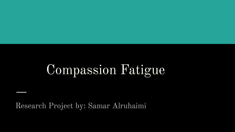# Compassion Fatigue

Research Project by: Samar Alruhaimi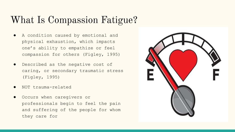#### What Is Compassion Fatigue?

- A condition caused by emotional and physical exhaustion, which impacts one's ability to empathize or feel compassion for others (Figley, 1995)
- Described as the negative cost of caring, or secondary traumatic stress (Figley, 1995)
- NOT trauma-related
- Occurs when caregivers or professionals begin to feel the pain and suffering of the people for whom they care for

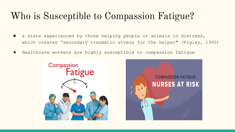#### Who is Susceptible to Compassion Fatigue?

- a state experienced by those helping people or animals in distress, which creates "secondary traumatic stress for the helper" (Figley, 1995)
- Healthcare workers are highly susceptible to compassion fatigue



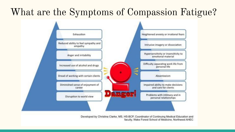### What are the Symptoms of Compassion Fatigue?



Developed by Christina Clarke, MS, HS-BCP, Coordinator of Continuing Medical Education and faculty, Wake Forest School of Medicine, Northwest AHEC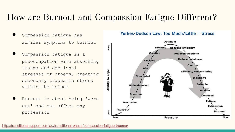#### How are Burnout and Compassion Fatigue Different?

- Compassion fatique has similar symptoms to burnout
- Compassion fatique is a preoccupation with absorbing trauma and emotional stresses of others, creating secondary traumatic stress within the helper
- Burnout is about being 'worn out' and can affect any profession

#### Yerkes-Dodson Law: Too Much/Little = Stress

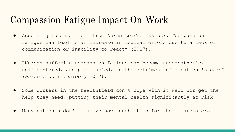#### Compassion Fatigue Impact On Work

- According to an article from *Nurse Leader Insider, "*compassion fatigue can lead to an increase in medical errors due to a lack of communication or inability to react" (2017).
- "Nurses suffering compassion fatigue can become unsympathetic, self-centered, and preoccupied, to the detriment of a patient's care" (*Nurse Leader Insider,* 2017).
- Some workers in the healthfield don't cope with it well nor get the help they need, putting their mental health significantly at risk
- Many patients don't realize how tough it is for their caretakers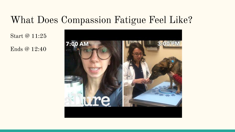#### What Does Compassion Fatigue Feel Like?

Start @ 11:25

Ends @ 12:40

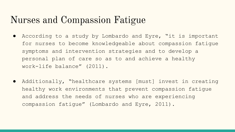#### Nurses and Compassion Fatigue

- According to a study by Lombardo and Eyre, "it is important for nurses to become knowledgeable about compassion fatigue symptoms and intervention strategies and to develop a personal plan of care so as to and achieve a healthy work-life balance" (2011).
- Additionally, "healthcare systems [must] invest in creating healthy work environments that prevent compassion fatigue and address the needs of nurses who are experiencing compassion fatigue" (Lombardo and Eyre, 2011).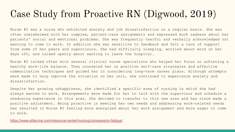### Case Study from Proactive RN (Digwood, 2019)

Nurse #2 was a nurse who exhibited anxiety and job dissatisfaction on a regular basis. She was often overwhelmed with her complex, patient-care assignments and expressed much sadness about her patients' social and emotional problems. She was frequently tearful and verbally acknowledged not wanting to come to work. In addition she was sensitive to feedback and felt a lack of support from some of her peers and supervisors. She had difficulty sleeping, worried about work on her days off, and talked openly about wanting to leave the hospital.

Nurse #2 talked often with several clinical nurse specialists who helped her focus on achieving a healthy work-life balance. They counseled her on positive self-care strategies and effective communication techniques and guided her in considering long-term career plans. Although attempts were made to help improve the situation on her unit, she continued to experience anxiety and dissatisfaction.

Despite her growing unhappiness, she identified a specific area of nursing in which she had always wanted to work. Arrangements were made for her to talk with the supervisor and schedule a shadowing experience in this area. She decided to transfer to this new area and has since made a positive adjustment. Being proactive in meeting her own needs and addressing work-related needs has resulted in Nurse #2 feeling more energized about her work assignment and more eager to come to work.

<https://www.elitecme.com/resource-center/nursing/compassion-fatigue/>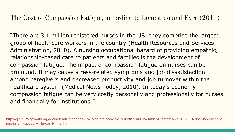The Cost of Compassion Fatigue, according to Lombardo and Eyre (2011)

"There are 3.1 million registered nurses in the US; they comprise the largest group of healthcare workers in the country (Health Resources and Services Administration, 2010). A nursing occupational hazard of providing empathic, relationship-based care to patients and families is the development of compassion fatigue. The impact of compassion fatigue on nurses can be profound. It may cause stress-related symptoms and job dissatisfaction among caregivers and decreased productivity and job turnover within the healthcare system (Medical News Today, 2010). In today's economy compassion fatigue can be very costly personally and professionally for nurses and financially for institutions."

[http://ojin.nursingworld.org/MainMenuCategories/ANAMarketplace/ANAPeriodicals/OJIN/TableofContents/Vol-16-2011/No1-Jan-2011/Co](http://ojin.nursingworld.org/MainMenuCategories/ANAMarketplace/ANAPeriodicals/OJIN/TableofContents/Vol-16-2011/No1-Jan-2011/Compassion-Fatigue-A-Nurses-Primer.html) [mpassion-Fatigue-A-Nurses-Primer.html](http://ojin.nursingworld.org/MainMenuCategories/ANAMarketplace/ANAPeriodicals/OJIN/TableofContents/Vol-16-2011/No1-Jan-2011/Compassion-Fatigue-A-Nurses-Primer.html)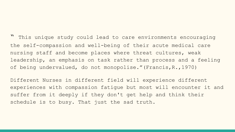" This unique study could lead to care environments encouraging the self-compassion and well-being of their acute medical care nursing staff and become places where threat cultures, weak leadership, an emphasis on task rather than process and a feeling of being undervalued, do not monopolise."(Francis,R.,1970)

Different Nurses in different field will experience different experiences with compassion fatigue but most will encounter it and suffer from it deeply if they don't get help and think their schedule is to busy. That just the sad truth.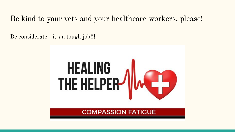#### Be kind to your vets and your healthcare workers, please!

Be considerate - it's a tough job!!!

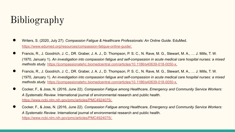## Bibliography

- Writers, S. (2020, July 27). *Compassion Fatigue & Healthcare Professionals: An Online Guide*. EduMed. <https://www.edumed.org/resources/compassion-fatigue-online-guide/.>
- Francis, R., J. Goodrich, J. C., DR. Graber, J. A. J., D. Thompson, P. S. C., N. Rave, M. G., Stewart, M. A., … J. Mills, T. W. (1970, January 1). *An investigation into compassion fatigue and self-compassion in acute medical care hospital nurses: a mixed methods study*. <https://jcompassionatehc.biomedcentral.com/articles/10.1186/s40639-018-0050-x.>
- Francis, R., J. Goodrich, J. C., DR. Graber, J. A. J., D. Thompson, P. S. C., N. Rave, M. G., Stewart, M. A., ... J. Mills, T. W. (1970, January 1). *An investigation into compassion fatigue and self-compassion in acute medical care hospital nurses: a mixed methods study*. <https://jcompassionatehc.biomedcentral.com/articles/10.1186/s40639-018-0050-x.>
- Cocker, F., & Joss, N. (2016, June 22). *Compassion Fatigue among Healthcare, Emergency and Community Service Workers: A Systematic Review*. International journal of environmental research and public health. <https://www.ncbi.nlm.nih.gov/pmc/articles/PMC4924075/.>
- Cocker, F., & Joss, N. (2016, June 22). *Compassion Fatigue among Healthcare, Emergency and Community Service Workers: A Systematic Review*. International journal of environmental research and public health. <https://www.ncbi.nlm.nih.gov/pmc/articles/PMC4924075/.>